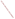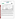# **THE ENVIRONMENTAL TECHNOLOGY VERIFICATION**







# **ETV Joint Verification Statement**

| <b>TECHNOLOGY TYPE:</b> Nitrate Test Kit      |                                              |                       |                              |
|-----------------------------------------------|----------------------------------------------|-----------------------|------------------------------|
| <b>APPLICATION:</b>                           | ANALYSIS OF NITRATE AND NITRITE IN WATER     |                       |                              |
| <b>TECHNOLOGY NAME: F-NTK</b>                 |                                              |                       |                              |
| <b>COMPANY:</b>                               | <b>Nitrate Elimination Co., Inc. (NECi)</b>  |                       |                              |
| <b>ADDRESS:</b>                               | 334 Hecla Street<br>Lake Linden, MI 49945    | <b>PHONE:</b><br>FAX: | 906-296-1000<br>906-296-8003 |
| <b>WEB SITE:</b><br>$E\text{-}{M}\text{A}H$ . | http://www.nitrate.com<br>ellenr@nitrate.com |                       |                              |

The U.S. Environmental Protection Agency (EPA) has created the Environmental Technology Verification (ETV) Program to facilitate the deployment of innovative or improved environmental technologies through performance verification and dissemination of information. The goal of the ETV Program is to further environmental protection by substantially accelerating the acceptance and use of improved and cost-effective technologies. ETV seeks to achieve this goal by providing high quality, peer-reviewed data on technology performance to those involved in the design, distribution, financing, permitting, purchase, and use of environmental technologies.

ETV works in partnership with recognized standards and testing organizations; with stakeholder groups that consist of buyers, vendor organizations, and permitters; and with the full participation of individual technology developers. The program evaluates the performance of innovative technologies by developing test plans that are responsive to the needs of stakeholders, conducting field or laboratory tests (as appropriate), collecting and analyzing data, and preparing peer-reviewed reports. All evaluations are conducted in accordance with rigorous quality assurance protocols to ensure that data of known and adequate quality are generated and that the results are defensible.

The Advanced Monitoring Systems (AMS) Center, one of six technology areas under ETV, is operated by Battelle in cooperation with EPA's National Exposure Research Laboratory. The AMS Center has recently evaluated the performance of nitrate test kits used to analyze for nitrate and nitrite in water. This verification statement provides a summary of the test results for the Nitrate Elimination Co., Inc., (NECi) F-NTK nitrate test kit.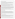#### **VERIFICATION TEST DESCRIPTION**

The F-NTK nitrate test kit was evaluated for accuracy, precision, linearity, method detection limit, matrix interference effects, and operator bias, as well as ease of use, cost, and sample throughput. Two sets of F-NTK test kits were tested independently by challenging them with test samples representative of those likely to be analyzed using the F-NTK. The results from the F-NTK nitrate analyses were compared to those from a reference method to assess accuracy, linearity, and detection limit. Multiple aliquots of performance test samples and drinking water samples were analyzed to assess precision.

For each set of test kits, identical sets of samples were analyzed independently by two separate operators (a technical and a non-technical person) to test for the existence of operator bias on the test kit performance. Interferences and matrix effects were assessed by separately evaluating accuracy on distinctly different sample matrices (i.e., prepared samples, drinking water, fresh water, and salt water samples). Sample throughput was estimated based on the time required to analyze a sample set. Performance parameters, such as ease of use and reliability, were evaluated based on documented observations of the operators.

Round 1 of the verification test took place over a two-week period at Battelle's laboratories in Columbus, Ohio, followed by a one-day period at Battelle's Ocean Sciences Laboratory in Duxbury, Massachusetts. Three types of samples were used in the verification test: quality control samples, performance test samples, and environmental water samples. The environmental water samples consisted of drinking water, well water, surface freshwater from rivers and a reservoir, and salt water from Massachusetts Bay. The surface freshwater sampling portion of the test was repeated, using the same water sources as in Round 1 of testing. In this Round 2 of testing, F-NTK kits were used that incorporated improved packaging for the reagents. The reference nitrate analysis in all testing was performed using a Dionex DX-500 ion chromatograph according to EPA Method 300.1.

Quality assurance (QA) oversight of verification testing was provided by Battelle. Battelle QA staff conducted a data quality audit of 10% of the test data, a performance evaluation audit, and a technical systems audit of the procedures used in this verification.

## **TECHNOLOGY DESCRIPTION**

The NECi F-NTK provides the reagents and equipment necessary for analyzing for nitrate and nitrite in environmental water samples and water-extracts of soil, plant tissue, and some food. The F-NTK uses an enzymebased (nitrate reductase) nitrate testing method and contains no toxic or hazardous chemicals. With the F-NTK, nitrate can be analyzed in two ranges of 0.5 to 10 ppm nitrate-N (0.5 to 10 mg of nitrate-N per liter) or 0.05 to 1.0 ppm nitrate-N (0.05 to 1.0 mg of nitrate-N per liter). This verification test used the 0.5 to 10 ppm nitrate-N range. The F-NTK nitrate test kit includes three nitrate standards, which are developed by the user, and a precision color chart for estimating nitrate content. All the necessary tools for conducting the nitrate tests are supplied in the F-NTK, including a test tube rack. The test kit provides semi-quantitative estimates of nitrate-N content.

## **VERIFICATION OF PERFORMANCE**

The F-NTK test kits sometimes showed widely different levels of color formation from nitrate standards when different reagent kits were used. The improved packaging for the F-NTK kits used in Round 2 appears to have resolved that problem. Unfortunately, performance of some of the kits was affected by this variability in Round 1, and only qualitative assessments could be made of some of the kit's performance characteristics, including precision, detection limit, effect of operator skill level, and effects of interferences.

**Accuracy:** Quantitative accuracy could not be assessed in Round 1 testing. In Round 2, the average percent bias of the current F-NTK test kit relative to the reference method was 28.9% with a technically trained Battelle operator, and 31.4% with a vendor operator, at levels of about 2 to 8 ppm nitrate-N in freshwater samples.